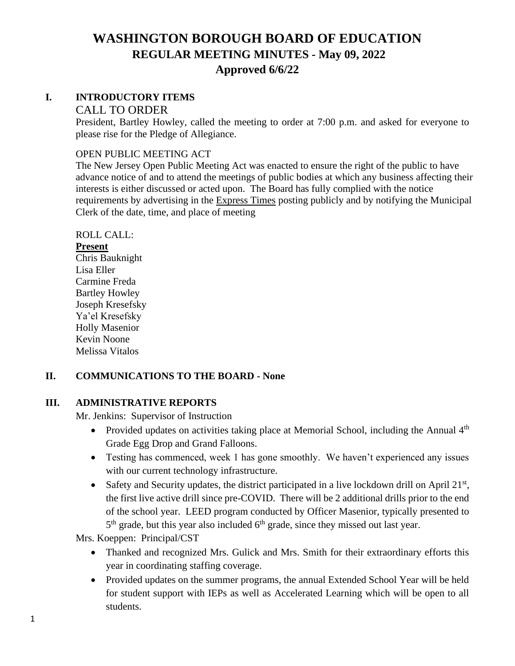### **I. INTRODUCTORY ITEMS**

#### CALL TO ORDER

President, Bartley Howley, called the meeting to order at 7:00 p.m. and asked for everyone to please rise for the Pledge of Allegiance.

#### OPEN PUBLIC MEETING ACT

The New Jersey Open Public Meeting Act was enacted to ensure the right of the public to have advance notice of and to attend the meetings of public bodies at which any business affecting their interests is either discussed or acted upon. The Board has fully complied with the notice requirements by advertising in the Express Times posting publicly and by notifying the Municipal Clerk of the date, time, and place of meeting

### ROLL CALL:

### **Present**

Chris Bauknight Lisa Eller Carmine Freda Bartley Howley Joseph Kresefsky Ya'el Kresefsky Holly Masenior Kevin Noone Melissa Vitalos

### **II. COMMUNICATIONS TO THE BOARD - None**

### **III. ADMINISTRATIVE REPORTS**

Mr. Jenkins: Supervisor of Instruction

- Provided updates on activities taking place at Memorial School, including the Annual  $4<sup>th</sup>$ Grade Egg Drop and Grand Falloons.
- Testing has commenced, week 1 has gone smoothly. We haven't experienced any issues with our current technology infrastructure.
- Safety and Security updates, the district participated in a live lockdown drill on April  $21<sup>st</sup>$ , the first live active drill since pre-COVID. There will be 2 additional drills prior to the end of the school year. LEED program conducted by Officer Masenior, typically presented to 5<sup>th</sup> grade, but this year also included 6<sup>th</sup> grade, since they missed out last year.

Mrs. Koeppen: Principal/CST

- Thanked and recognized Mrs. Gulick and Mrs. Smith for their extraordinary efforts this year in coordinating staffing coverage.
- Provided updates on the summer programs, the annual Extended School Year will be held for student support with IEPs as well as Accelerated Learning which will be open to all students.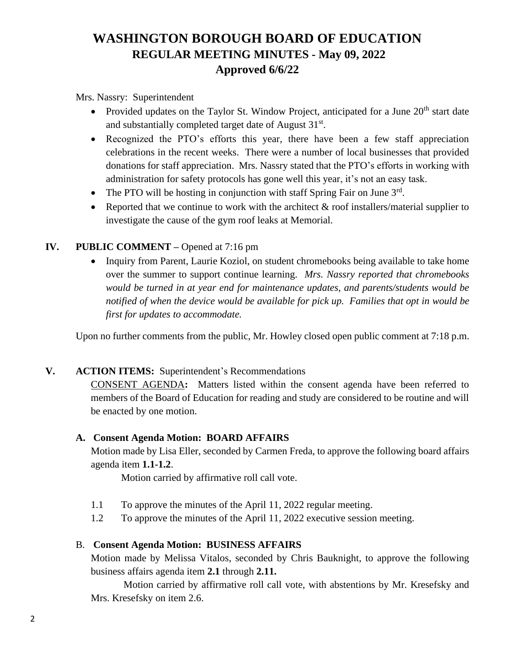Mrs. Nassry: Superintendent

- Provided updates on the Taylor St. Window Project, anticipated for a June  $20<sup>th</sup>$  start date and substantially completed target date of August 31st.
- Recognized the PTO's efforts this year, there have been a few staff appreciation celebrations in the recent weeks. There were a number of local businesses that provided donations for staff appreciation. Mrs. Nassry stated that the PTO's efforts in working with administration for safety protocols has gone well this year, it's not an easy task.
- The PTO will be hosting in conjunction with staff Spring Fair on June  $3<sup>rd</sup>$ .
- Reported that we continue to work with the architect  $\&$  roof installers/material supplier to investigate the cause of the gym roof leaks at Memorial.

### **IV. PUBLIC COMMENT –** Opened at 7:16 pm

• Inquiry from Parent, Laurie Koziol, on student chromebooks being available to take home over the summer to support continue learning. *Mrs. Nassry reported that chromebooks would be turned in at year end for maintenance updates, and parents/students would be notified of when the device would be available for pick up. Families that opt in would be first for updates to accommodate.*

Upon no further comments from the public, Mr. Howley closed open public comment at 7:18 p.m.

### **V. ACTION ITEMS:** Superintendent's Recommendations

CONSENT AGENDA**:** Matters listed within the consent agenda have been referred to members of the Board of Education for reading and study are considered to be routine and will be enacted by one motion.

### **A. Consent Agenda Motion: BOARD AFFAIRS**

Motion made by Lisa Eller, seconded by Carmen Freda, to approve the following board affairs agenda item **1.1-1.2**.

Motion carried by affirmative roll call vote.

- 1.1 To approve the minutes of the April 11, 2022 regular meeting.
- 1.2 To approve the minutes of the April 11, 2022 executive session meeting.

### B. **Consent Agenda Motion: BUSINESS AFFAIRS**

Motion made by Melissa Vitalos, seconded by Chris Bauknight, to approve the following business affairs agenda item **2.1** through **2.11.**

Motion carried by affirmative roll call vote, with abstentions by Mr. Kresefsky and Mrs. Kresefsky on item 2.6.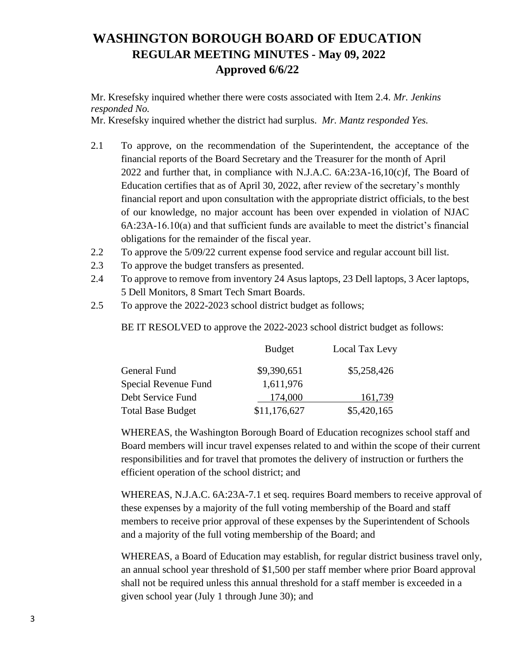Mr. Kresefsky inquired whether there were costs associated with Item 2.4. *Mr. Jenkins responded No.*

Mr. Kresefsky inquired whether the district had surplus. *Mr. Mantz responded Yes.*

- 2.1 To approve, on the recommendation of the Superintendent, the acceptance of the financial reports of the Board Secretary and the Treasurer for the month of April 2022 and further that, in compliance with N.J.A.C.  $6A:23A-16,10(c)$  f, The Board of Education certifies that as of April 30, 2022, after review of the secretary's monthly financial report and upon consultation with the appropriate district officials, to the best of our knowledge, no major account has been over expended in violation of NJAC 6A:23A-16.10(a) and that sufficient funds are available to meet the district's financial obligations for the remainder of the fiscal year.
- 2.2 To approve the 5/09/22 current expense food service and regular account bill list.
- 2.3 To approve the budget transfers as presented.
- 2.4 To approve to remove from inventory 24 Asus laptops, 23 Dell laptops, 3 Acer laptops, 5 Dell Monitors, 8 Smart Tech Smart Boards.
- 2.5 To approve the 2022-2023 school district budget as follows;

BE IT RESOLVED to approve the 2022-2023 school district budget as follows:

|                          | <b>Budget</b> | Local Tax Levy |
|--------------------------|---------------|----------------|
| General Fund             | \$9,390,651   | \$5,258,426    |
| Special Revenue Fund     | 1,611,976     |                |
| Debt Service Fund        | 174,000       | 161,739        |
| <b>Total Base Budget</b> | \$11,176,627  | \$5,420,165    |

WHEREAS, the Washington Borough Board of Education recognizes school staff and Board members will incur travel expenses related to and within the scope of their current responsibilities and for travel that promotes the delivery of instruction or furthers the efficient operation of the school district; and

WHEREAS, N.J.A.C. 6A:23A-7.1 et seq. requires Board members to receive approval of these expenses by a majority of the full voting membership of the Board and staff members to receive prior approval of these expenses by the Superintendent of Schools and a majority of the full voting membership of the Board; and

WHEREAS, a Board of Education may establish, for regular district business travel only, an annual school year threshold of \$1,500 per staff member where prior Board approval shall not be required unless this annual threshold for a staff member is exceeded in a given school year (July 1 through June 30); and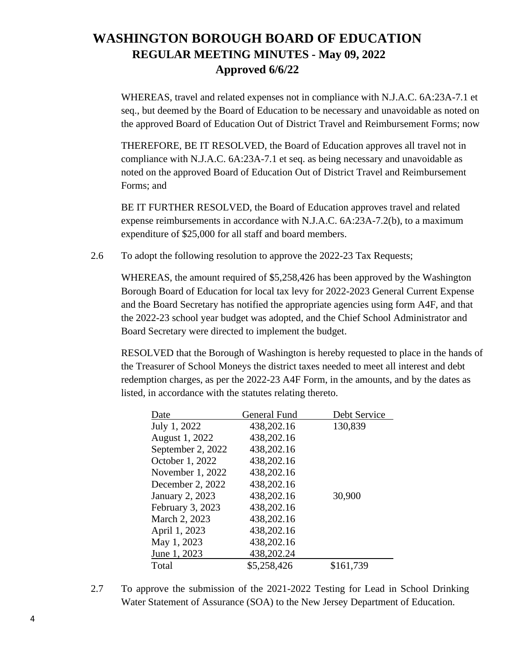WHEREAS, travel and related expenses not in compliance with N.J.A.C. 6A:23A-7.1 et seq., but deemed by the Board of Education to be necessary and unavoidable as noted on the approved Board of Education Out of District Travel and Reimbursement Forms; now

THEREFORE, BE IT RESOLVED, the Board of Education approves all travel not in compliance with N.J.A.C. 6A:23A-7.1 et seq. as being necessary and unavoidable as noted on the approved Board of Education Out of District Travel and Reimbursement Forms; and

BE IT FURTHER RESOLVED, the Board of Education approves travel and related expense reimbursements in accordance with N.J.A.C. 6A:23A-7.2(b), to a maximum expenditure of \$25,000 for all staff and board members.

2.6 To adopt the following resolution to approve the 2022-23 Tax Requests;

WHEREAS, the amount required of \$5,258,426 has been approved by the Washington Borough Board of Education for local tax levy for 2022-2023 General Current Expense and the Board Secretary has notified the appropriate agencies using form A4F, and that the 2022-23 school year budget was adopted, and the Chief School Administrator and Board Secretary were directed to implement the budget.

RESOLVED that the Borough of Washington is hereby requested to place in the hands of the Treasurer of School Moneys the district taxes needed to meet all interest and debt redemption charges, as per the 2022-23 A4F Form, in the amounts, and by the dates as listed, in accordance with the statutes relating thereto.

| Date                   | General Fund | Debt Service |
|------------------------|--------------|--------------|
| July 1, 2022           | 438,202.16   | 130,839      |
| August 1, 2022         | 438,202.16   |              |
| September 2, 2022      | 438,202.16   |              |
| October 1, 2022        | 438,202.16   |              |
| November 1, 2022       | 438,202.16   |              |
| December 2, 2022       | 438,202.16   |              |
| <b>January 2, 2023</b> | 438,202.16   | 30,900       |
| February 3, 2023       | 438,202.16   |              |
| March 2, 2023          | 438,202.16   |              |
| April 1, 2023          | 438,202.16   |              |
| May 1, 2023            | 438,202.16   |              |
| June 1, 2023           | 438,202.24   |              |
| Total                  | \$5,258,426  | \$161,739    |

2.7 To approve the submission of the 2021-2022 Testing for Lead in School Drinking Water Statement of Assurance (SOA) to the New Jersey Department of Education.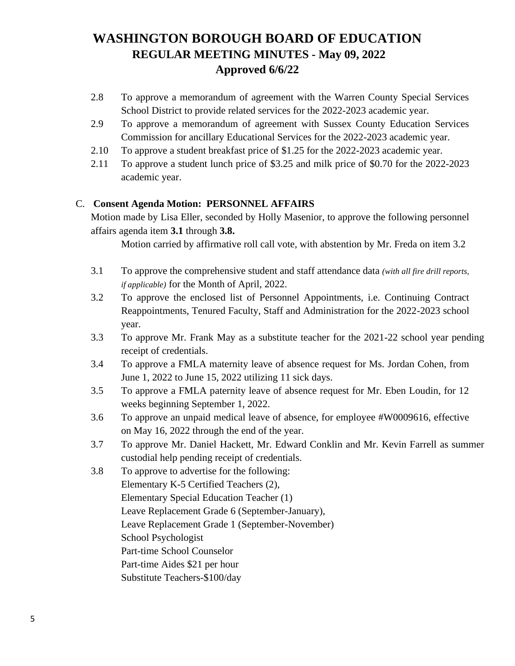- 2.8 To approve a memorandum of agreement with the Warren County Special Services School District to provide related services for the 2022-2023 academic year.
- 2.9 To approve a memorandum of agreement with Sussex County Education Services Commission for ancillary Educational Services for the 2022-2023 academic year.
- 2.10 To approve a student breakfast price of \$1.25 for the 2022-2023 academic year.
- 2.11 To approve a student lunch price of \$3.25 and milk price of \$0.70 for the 2022-2023 academic year.

### C. **Consent Agenda Motion: PERSONNEL AFFAIRS**

Motion made by Lisa Eller, seconded by Holly Masenior, to approve the following personnel affairs agenda item **3.1** through **3.8.**

Motion carried by affirmative roll call vote, with abstention by Mr. Freda on item 3.2

- 3.1 To approve the comprehensive student and staff attendance data *(with all fire drill reports, if applicable)* for the Month of April, 2022.
- 3.2 To approve the enclosed list of Personnel Appointments, i.e. Continuing Contract Reappointments, Tenured Faculty, Staff and Administration for the 2022-2023 school year.
- 3.3 To approve Mr. Frank May as a substitute teacher for the 2021-22 school year pending receipt of credentials.
- 3.4 To approve a FMLA maternity leave of absence request for Ms. Jordan Cohen, from June 1, 2022 to June 15, 2022 utilizing 11 sick days.
- 3.5 To approve a FMLA paternity leave of absence request for Mr. Eben Loudin, for 12 weeks beginning September 1, 2022.
- 3.6 To approve an unpaid medical leave of absence, for employee #W0009616, effective on May 16, 2022 through the end of the year.
- 3.7 To approve Mr. Daniel Hackett, Mr. Edward Conklin and Mr. Kevin Farrell as summer custodial help pending receipt of credentials.
- 3.8 To approve to advertise for the following: Elementary K-5 Certified Teachers (2), Elementary Special Education Teacher (1) Leave Replacement Grade 6 (September-January), Leave Replacement Grade 1 (September-November) School Psychologist Part-time School Counselor Part-time Aides \$21 per hour Substitute Teachers-\$100/day